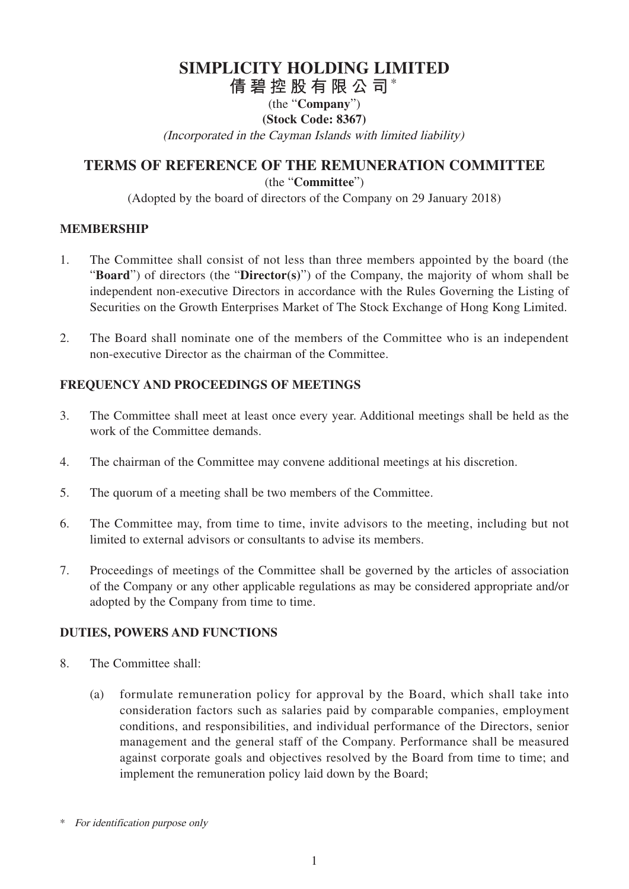**SIMPLICITY HOLDING LIMITED**

**倩碧控股有限公司**\*

(the "**Company**")

**(Stock Code: 8367)**

(Incorporated in the Cayman Islands with limited liability)

# **TERMS OF REFERENCE OF THE REMUNERATION COMMITTEE**

(the "**Committee**")

(Adopted by the board of directors of the Company on 29 January 2018)

### **MEMBERSHIP**

- 1. The Committee shall consist of not less than three members appointed by the board (the "**Board**") of directors (the "**Director(s)**") of the Company, the majority of whom shall be independent non-executive Directors in accordance with the Rules Governing the Listing of Securities on the Growth Enterprises Market of The Stock Exchange of Hong Kong Limited.
- 2. The Board shall nominate one of the members of the Committee who is an independent non-executive Director as the chairman of the Committee.

# **FREQUENCY AND PROCEEDINGS OF MEETINGS**

- 3. The Committee shall meet at least once every year. Additional meetings shall be held as the work of the Committee demands.
- 4. The chairman of the Committee may convene additional meetings at his discretion.
- 5. The quorum of a meeting shall be two members of the Committee.
- 6. The Committee may, from time to time, invite advisors to the meeting, including but not limited to external advisors or consultants to advise its members.
- 7. Proceedings of meetings of the Committee shall be governed by the articles of association of the Company or any other applicable regulations as may be considered appropriate and/or adopted by the Company from time to time.

## **DUTIES, POWERS AND FUNCTIONS**

- 8. The Committee shall:
	- (a) formulate remuneration policy for approval by the Board, which shall take into consideration factors such as salaries paid by comparable companies, employment conditions, and responsibilities, and individual performance of the Directors, senior management and the general staff of the Company. Performance shall be measured against corporate goals and objectives resolved by the Board from time to time; and implement the remuneration policy laid down by the Board;

<sup>\*</sup> For identification purpose only